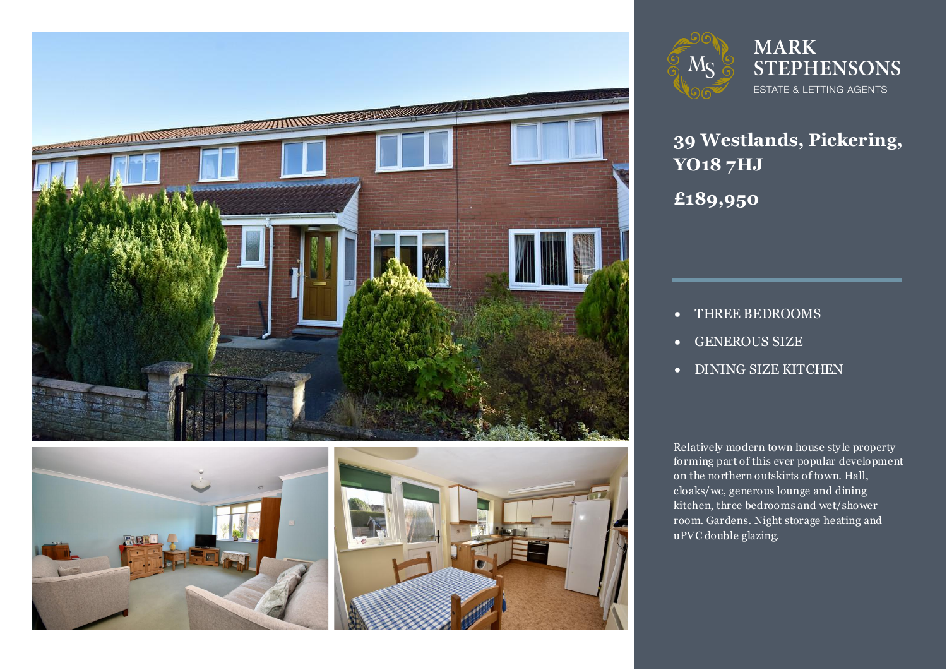







**MARK STEPHENSONS ESTATE & LETTING AGENTS** 

**39 Westlands, Pickering, YO18 7HJ £189,950**

- THREE BEDROOMS
- GENEROUS SIZE
- DINING SIZE KITCHEN

Relatively modern town house style property<br>forming part of this ever popular development on the northern outskirts of town. Hall,<br>cloaks/wc. generous lounge and dining Relatively modern town house sty le property cloaks/wc, generous lounge and dining kitchen, three bedrooms and wet/shower room. Gardens. Night storage heating and uPVC double glazing.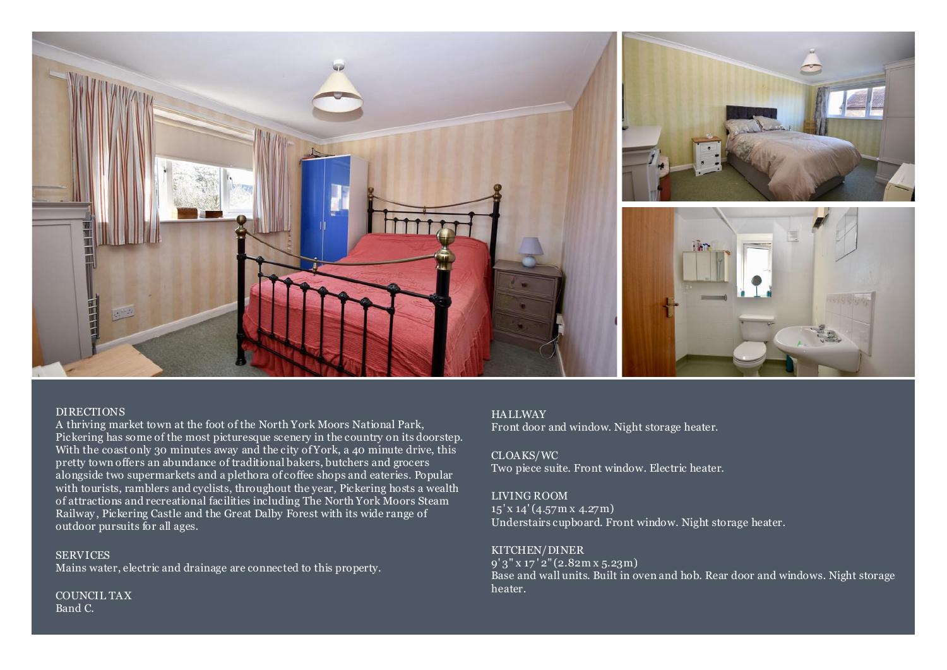

### DIRECTIONS

A thriving market town at the foot of the North York Moors National Park, Pickering has some of the most picturesque scenery in the country on its doorstep. With the coast only 30 minutes away and the city of York, a 40 minute drive, this pretty town offers an abundance of traditional bakers, butchers and grocers alongside two supermarkets and a plethora of coffee shops and eateries. Popular with tourists, ramblers and cyclists, throughout the year, Pickering hosts a wealth of attractions and recreational facilities including The North York Moors Steam Railway, Pickering Castle and the Great Dalby Forest with its wide range of outdoor pursuits for all ages.

**SERVICES** Mains water, electric and drainage are connected to this property.

COUNCIL TAX Band C.

## **HALLWAY**

Front door and window. Night storage heater.

CLOAKS/WC Two piece suite. Front window. Electric heater.

### LIVING ROOM

15' x 14' (4.57m x 4.27m) Understairs cupboard. Front window. Night storage heater.

## KITCHEN/DINER

9' 3" x 17 ' 2" (2.82m x 5.23m) Base and wall units. Built in oven and hob. Rear door and windows. Night storage heater.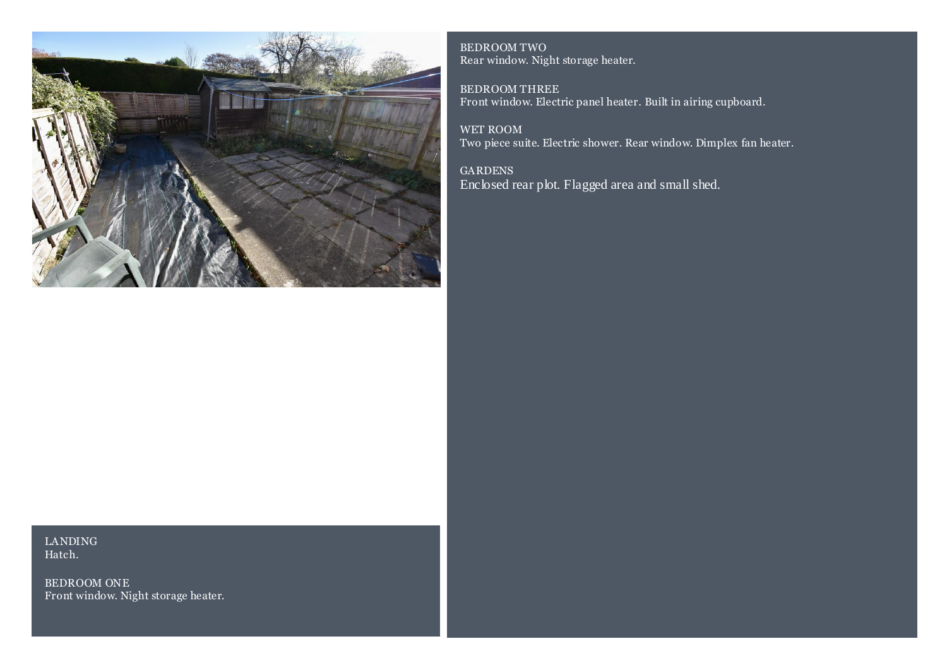

BEDROOM TWO Rear window. Night storage heater.

BEDROOM THREE Front window. Electric panel heater. Built in airing cupboard.

WET ROOM Two piece suite. Electric shower. Rear window. Dimplex fan heater.

GARDENS Enclosed rear plot. Flagged area and small shed.

## LANDING Hatch.

BEDROOM ONE Front window. Night storage heater.